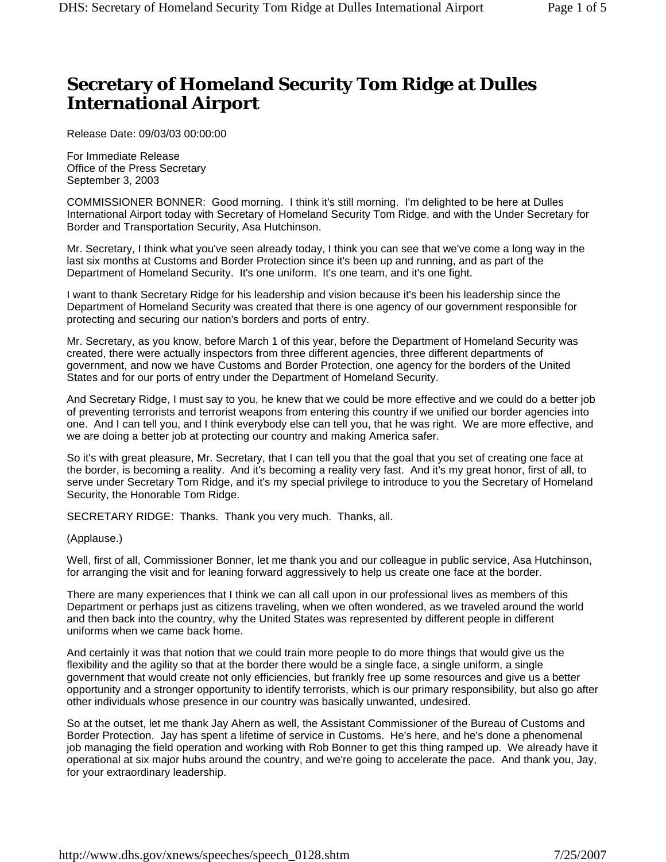# **Secretary of Homeland Security Tom Ridge at Dulles International Airport**

Release Date: 09/03/03 00:00:00

For Immediate Release Office of the Press Secretary September 3, 2003

COMMISSIONER BONNER: Good morning. I think it's still morning. I'm delighted to be here at Dulles International Airport today with Secretary of Homeland Security Tom Ridge, and with the Under Secretary for Border and Transportation Security, Asa Hutchinson.

Mr. Secretary, I think what you've seen already today, I think you can see that we've come a long way in the last six months at Customs and Border Protection since it's been up and running, and as part of the Department of Homeland Security. It's one uniform. It's one team, and it's one fight.

I want to thank Secretary Ridge for his leadership and vision because it's been his leadership since the Department of Homeland Security was created that there is one agency of our government responsible for protecting and securing our nation's borders and ports of entry.

Mr. Secretary, as you know, before March 1 of this year, before the Department of Homeland Security was created, there were actually inspectors from three different agencies, three different departments of government, and now we have Customs and Border Protection, one agency for the borders of the United States and for our ports of entry under the Department of Homeland Security.

And Secretary Ridge, I must say to you, he knew that we could be more effective and we could do a better job of preventing terrorists and terrorist weapons from entering this country if we unified our border agencies into one. And I can tell you, and I think everybody else can tell you, that he was right. We are more effective, and we are doing a better job at protecting our country and making America safer.

So it's with great pleasure, Mr. Secretary, that I can tell you that the goal that you set of creating one face at the border, is becoming a reality. And it's becoming a reality very fast. And it's my great honor, first of all, to serve under Secretary Tom Ridge, and it's my special privilege to introduce to you the Secretary of Homeland Security, the Honorable Tom Ridge.

SECRETARY RIDGE: Thanks. Thank you very much. Thanks, all.

### (Applause.)

Well, first of all, Commissioner Bonner, let me thank you and our colleague in public service, Asa Hutchinson, for arranging the visit and for leaning forward aggressively to help us create one face at the border.

There are many experiences that I think we can all call upon in our professional lives as members of this Department or perhaps just as citizens traveling, when we often wondered, as we traveled around the world and then back into the country, why the United States was represented by different people in different uniforms when we came back home.

And certainly it was that notion that we could train more people to do more things that would give us the flexibility and the agility so that at the border there would be a single face, a single uniform, a single government that would create not only efficiencies, but frankly free up some resources and give us a better opportunity and a stronger opportunity to identify terrorists, which is our primary responsibility, but also go after other individuals whose presence in our country was basically unwanted, undesired.

So at the outset, let me thank Jay Ahern as well, the Assistant Commissioner of the Bureau of Customs and Border Protection. Jay has spent a lifetime of service in Customs. He's here, and he's done a phenomenal job managing the field operation and working with Rob Bonner to get this thing ramped up. We already have it operational at six major hubs around the country, and we're going to accelerate the pace. And thank you, Jay, for your extraordinary leadership.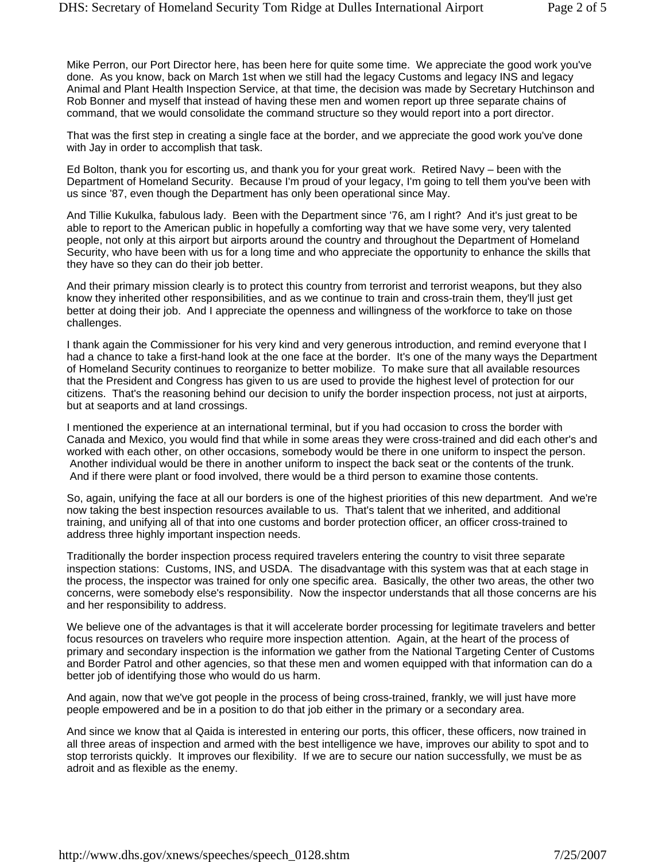Mike Perron, our Port Director here, has been here for quite some time. We appreciate the good work you've done. As you know, back on March 1st when we still had the legacy Customs and legacy INS and legacy Animal and Plant Health Inspection Service, at that time, the decision was made by Secretary Hutchinson and Rob Bonner and myself that instead of having these men and women report up three separate chains of command, that we would consolidate the command structure so they would report into a port director.

That was the first step in creating a single face at the border, and we appreciate the good work you've done with Jay in order to accomplish that task.

Ed Bolton, thank you for escorting us, and thank you for your great work. Retired Navy – been with the Department of Homeland Security. Because I'm proud of your legacy, I'm going to tell them you've been with us since '87, even though the Department has only been operational since May.

And Tillie Kukulka, fabulous lady. Been with the Department since '76, am I right? And it's just great to be able to report to the American public in hopefully a comforting way that we have some very, very talented people, not only at this airport but airports around the country and throughout the Department of Homeland Security, who have been with us for a long time and who appreciate the opportunity to enhance the skills that they have so they can do their job better.

And their primary mission clearly is to protect this country from terrorist and terrorist weapons, but they also know they inherited other responsibilities, and as we continue to train and cross-train them, they'll just get better at doing their job. And I appreciate the openness and willingness of the workforce to take on those challenges.

I thank again the Commissioner for his very kind and very generous introduction, and remind everyone that I had a chance to take a first-hand look at the one face at the border. It's one of the many ways the Department of Homeland Security continues to reorganize to better mobilize. To make sure that all available resources that the President and Congress has given to us are used to provide the highest level of protection for our citizens. That's the reasoning behind our decision to unify the border inspection process, not just at airports, but at seaports and at land crossings.

I mentioned the experience at an international terminal, but if you had occasion to cross the border with Canada and Mexico, you would find that while in some areas they were cross-trained and did each other's and worked with each other, on other occasions, somebody would be there in one uniform to inspect the person. Another individual would be there in another uniform to inspect the back seat or the contents of the trunk. And if there were plant or food involved, there would be a third person to examine those contents.

So, again, unifying the face at all our borders is one of the highest priorities of this new department. And we're now taking the best inspection resources available to us. That's talent that we inherited, and additional training, and unifying all of that into one customs and border protection officer, an officer cross-trained to address three highly important inspection needs.

Traditionally the border inspection process required travelers entering the country to visit three separate inspection stations: Customs, INS, and USDA. The disadvantage with this system was that at each stage in the process, the inspector was trained for only one specific area. Basically, the other two areas, the other two concerns, were somebody else's responsibility. Now the inspector understands that all those concerns are his and her responsibility to address.

We believe one of the advantages is that it will accelerate border processing for legitimate travelers and better focus resources on travelers who require more inspection attention. Again, at the heart of the process of primary and secondary inspection is the information we gather from the National Targeting Center of Customs and Border Patrol and other agencies, so that these men and women equipped with that information can do a better job of identifying those who would do us harm.

And again, now that we've got people in the process of being cross-trained, frankly, we will just have more people empowered and be in a position to do that job either in the primary or a secondary area.

And since we know that al Qaida is interested in entering our ports, this officer, these officers, now trained in all three areas of inspection and armed with the best intelligence we have, improves our ability to spot and to stop terrorists quickly. It improves our flexibility. If we are to secure our nation successfully, we must be as adroit and as flexible as the enemy.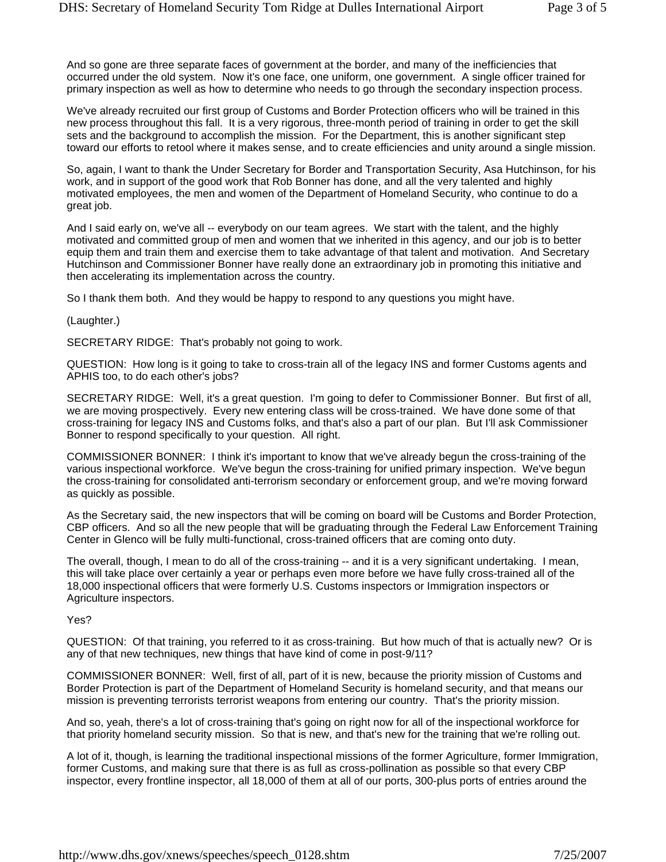And so gone are three separate faces of government at the border, and many of the inefficiencies that occurred under the old system. Now it's one face, one uniform, one government. A single officer trained for primary inspection as well as how to determine who needs to go through the secondary inspection process.

We've already recruited our first group of Customs and Border Protection officers who will be trained in this new process throughout this fall. It is a very rigorous, three-month period of training in order to get the skill sets and the background to accomplish the mission. For the Department, this is another significant step toward our efforts to retool where it makes sense, and to create efficiencies and unity around a single mission.

So, again, I want to thank the Under Secretary for Border and Transportation Security, Asa Hutchinson, for his work, and in support of the good work that Rob Bonner has done, and all the very talented and highly motivated employees, the men and women of the Department of Homeland Security, who continue to do a great job.

And I said early on, we've all -- everybody on our team agrees. We start with the talent, and the highly motivated and committed group of men and women that we inherited in this agency, and our job is to better equip them and train them and exercise them to take advantage of that talent and motivation. And Secretary Hutchinson and Commissioner Bonner have really done an extraordinary job in promoting this initiative and then accelerating its implementation across the country.

So I thank them both. And they would be happy to respond to any questions you might have.

#### (Laughter.)

SECRETARY RIDGE: That's probably not going to work.

QUESTION: How long is it going to take to cross-train all of the legacy INS and former Customs agents and APHIS too, to do each other's jobs?

SECRETARY RIDGE: Well, it's a great question. I'm going to defer to Commissioner Bonner. But first of all, we are moving prospectively. Every new entering class will be cross-trained. We have done some of that cross-training for legacy INS and Customs folks, and that's also a part of our plan. But I'll ask Commissioner Bonner to respond specifically to your question. All right.

COMMISSIONER BONNER: I think it's important to know that we've already begun the cross-training of the various inspectional workforce. We've begun the cross-training for unified primary inspection. We've begun the cross-training for consolidated anti-terrorism secondary or enforcement group, and we're moving forward as quickly as possible.

As the Secretary said, the new inspectors that will be coming on board will be Customs and Border Protection, CBP officers. And so all the new people that will be graduating through the Federal Law Enforcement Training Center in Glenco will be fully multi-functional, cross-trained officers that are coming onto duty.

The overall, though, I mean to do all of the cross-training -- and it is a very significant undertaking. I mean, this will take place over certainly a year or perhaps even more before we have fully cross-trained all of the 18,000 inspectional officers that were formerly U.S. Customs inspectors or Immigration inspectors or Agriculture inspectors.

#### Yes?

QUESTION: Of that training, you referred to it as cross-training. But how much of that is actually new? Or is any of that new techniques, new things that have kind of come in post-9/11?

COMMISSIONER BONNER: Well, first of all, part of it is new, because the priority mission of Customs and Border Protection is part of the Department of Homeland Security is homeland security, and that means our mission is preventing terrorists terrorist weapons from entering our country. That's the priority mission.

And so, yeah, there's a lot of cross-training that's going on right now for all of the inspectional workforce for that priority homeland security mission. So that is new, and that's new for the training that we're rolling out.

A lot of it, though, is learning the traditional inspectional missions of the former Agriculture, former Immigration, former Customs, and making sure that there is as full as cross-pollination as possible so that every CBP inspector, every frontline inspector, all 18,000 of them at all of our ports, 300-plus ports of entries around the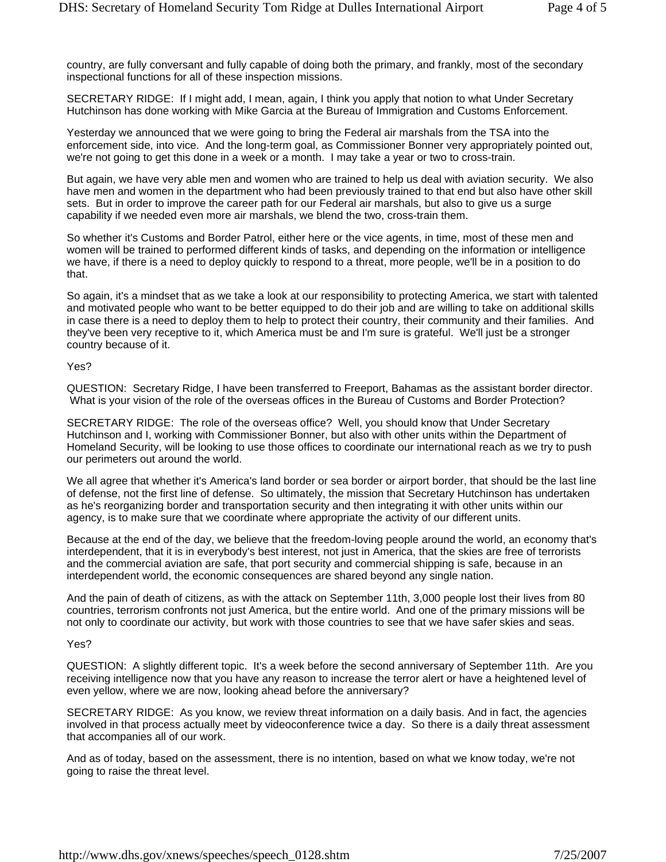country, are fully conversant and fully capable of doing both the primary, and frankly, most of the secondary inspectional functions for all of these inspection missions.

SECRETARY RIDGE: If I might add, I mean, again, I think you apply that notion to what Under Secretary Hutchinson has done working with Mike Garcia at the Bureau of Immigration and Customs Enforcement.

Yesterday we announced that we were going to bring the Federal air marshals from the TSA into the enforcement side, into vice. And the long-term goal, as Commissioner Bonner very appropriately pointed out, we're not going to get this done in a week or a month. I may take a year or two to cross-train.

But again, we have very able men and women who are trained to help us deal with aviation security. We also have men and women in the department who had been previously trained to that end but also have other skill sets. But in order to improve the career path for our Federal air marshals, but also to give us a surge capability if we needed even more air marshals, we blend the two, cross-train them.

So whether it's Customs and Border Patrol, either here or the vice agents, in time, most of these men and women will be trained to performed different kinds of tasks, and depending on the information or intelligence we have, if there is a need to deploy quickly to respond to a threat, more people, we'll be in a position to do that.

So again, it's a mindset that as we take a look at our responsibility to protecting America, we start with talented and motivated people who want to be better equipped to do their job and are willing to take on additional skills in case there is a need to deploy them to help to protect their country, their community and their families. And they've been very receptive to it, which America must be and I'm sure is grateful. We'll just be a stronger country because of it.

## Yes?

QUESTION: Secretary Ridge, I have been transferred to Freeport, Bahamas as the assistant border director. What is your vision of the role of the overseas offices in the Bureau of Customs and Border Protection?

SECRETARY RIDGE: The role of the overseas office? Well, you should know that Under Secretary Hutchinson and I, working with Commissioner Bonner, but also with other units within the Department of Homeland Security, will be looking to use those offices to coordinate our international reach as we try to push our perimeters out around the world.

We all agree that whether it's America's land border or sea border or airport border, that should be the last line of defense, not the first line of defense. So ultimately, the mission that Secretary Hutchinson has undertaken as he's reorganizing border and transportation security and then integrating it with other units within our agency, is to make sure that we coordinate where appropriate the activity of our different units.

Because at the end of the day, we believe that the freedom-loving people around the world, an economy that's interdependent, that it is in everybody's best interest, not just in America, that the skies are free of terrorists and the commercial aviation are safe, that port security and commercial shipping is safe, because in an interdependent world, the economic consequences are shared beyond any single nation.

And the pain of death of citizens, as with the attack on September 11th, 3,000 people lost their lives from 80 countries, terrorism confronts not just America, but the entire world. And one of the primary missions will be not only to coordinate our activity, but work with those countries to see that we have safer skies and seas.

#### Yes?

QUESTION: A slightly different topic. It's a week before the second anniversary of September 11th. Are you receiving intelligence now that you have any reason to increase the terror alert or have a heightened level of even yellow, where we are now, looking ahead before the anniversary?

SECRETARY RIDGE: As you know, we review threat information on a daily basis. And in fact, the agencies involved in that process actually meet by videoconference twice a day. So there is a daily threat assessment that accompanies all of our work.

And as of today, based on the assessment, there is no intention, based on what we know today, we're not going to raise the threat level.